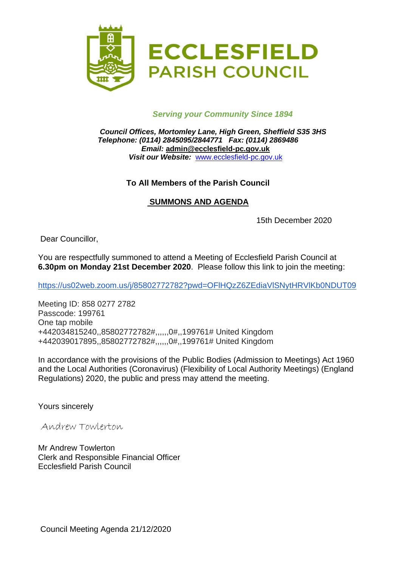

## *Serving your Community Since 1894*

*Council Offices, Mortomley Lane, High Green, Sheffield S35 3HS Telephone: (0114) 2845095/2844771 Fax: (0114) 2869486 Email:* **admin@ecclesfield-pc.gov.uk** *Visit our Website:* [www.ecclesfield-pc.gov.uk](http://www.ecclesfield-pc.gov.uk/)

### **To All Members of the Parish Council**

### **SUMMONS AND AGENDA**

15th December 2020

Dear Councillor,

You are respectfully summoned to attend a Meeting of Ecclesfield Parish Council at **6.30pm on Monday 21st December 2020**. Please follow this link to join the meeting:

<https://us02web.zoom.us/j/85802772782?pwd=OFlHQzZ6ZEdiaVlSNytHRVlKb0NDUT09>

Meeting ID: 858 0277 2782 Passcode: 199761 One tap mobile +442034815240,,85802772782#,,,,,,0#,,199761# United Kingdom +442039017895,,85802772782#,,,,,,0#,,199761# United Kingdom

In accordance with the provisions of the Public Bodies (Admission to Meetings) Act 1960 and the Local Authorities (Coronavirus) (Flexibility of Local Authority Meetings) (England Regulations) 2020, the public and press may attend the meeting.

Yours sincerely

Andrew Towlerton

Mr Andrew Towlerton Clerk and Responsible Financial Officer Ecclesfield Parish Council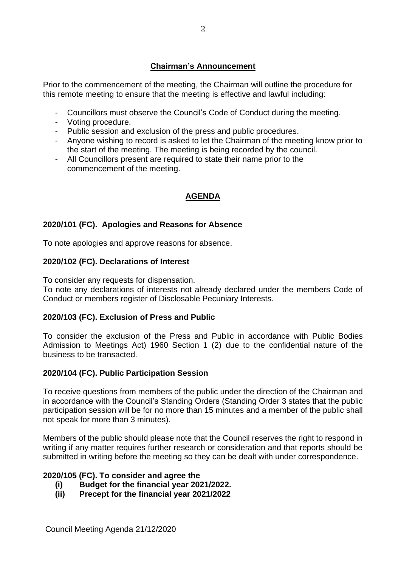# **Chairman's Announcement**

Prior to the commencement of the meeting, the Chairman will outline the procedure for this remote meeting to ensure that the meeting is effective and lawful including:

- Councillors must observe the Council's Code of Conduct during the meeting.
- Voting procedure.
- Public session and exclusion of the press and public procedures.
- Anyone wishing to record is asked to let the Chairman of the meeting know prior to the start of the meeting. The meeting is being recorded by the council.
- All Councillors present are required to state their name prior to the commencement of the meeting.

### **AGENDA**

### **2020/101 (FC). Apologies and Reasons for Absence**

To note apologies and approve reasons for absence.

### **2020/102 (FC). Declarations of Interest**

To consider any requests for dispensation.

To note any declarations of interests not already declared under the members Code of Conduct or members register of Disclosable Pecuniary Interests.

#### **2020/103 (FC). Exclusion of Press and Public**

To consider the exclusion of the Press and Public in accordance with Public Bodies Admission to Meetings Act) 1960 Section 1 (2) due to the confidential nature of the business to be transacted.

#### **2020/104 (FC). Public Participation Session**

To receive questions from members of the public under the direction of the Chairman and in accordance with the Council's Standing Orders (Standing Order 3 states that the public participation session will be for no more than 15 minutes and a member of the public shall not speak for more than 3 minutes).

Members of the public should please note that the Council reserves the right to respond in writing if any matter requires further research or consideration and that reports should be submitted in writing before the meeting so they can be dealt with under correspondence.

#### **2020/105 (FC). To consider and agree the**

- **(i) Budget for the financial year 2021/2022.**
- **(ii) Precept for the financial year 2021/2022**